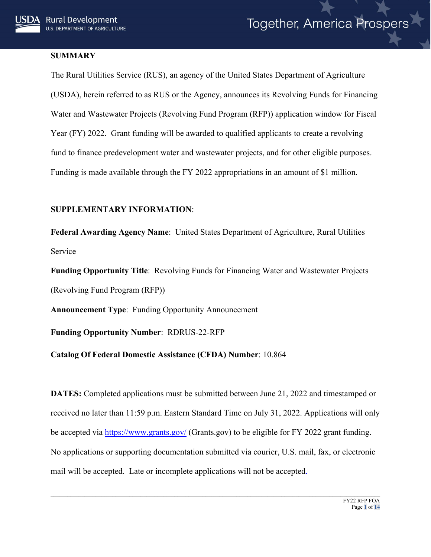## **SUMMARY**

The Rural Utilities Service (RUS), an agency of the United States Department of Agriculture (USDA), herein referred to as RUS or the Agency, announces its Revolving Funds for Financing Water and Wastewater Projects (Revolving Fund Program (RFP)) application window for Fiscal Year (FY) 2022. Grant funding will be awarded to qualified applicants to create a revolving fund to finance predevelopment water and wastewater projects, and for other eligible purposes. Funding is made available through the FY 2022 appropriations in an amount of \$1 million.

# **SUPPLEMENTARY INFORMATION**:

**Federal Awarding Agency Name**: United States Department of Agriculture, Rural Utilities Service

**Funding Opportunity Title**: Revolving Funds for Financing Water and Wastewater Projects (Revolving Fund Program (RFP))

**Announcement Type**: Funding Opportunity Announcement

**Funding Opportunity Number**: RDRUS-22-RFP

# **Catalog Of Federal Domestic Assistance (CFDA) Number**: 10.864

**DATES:** Completed applications must be submitted between June 21, 2022 and timestamped or received no later than 11:59 p.m. Eastern Standard Time on July 31, 2022. Applications will only be accepted via<https://www.grants.gov/> (Grants.gov) to be eligible for FY 2022 grant funding. No applications or supporting documentation submitted via courier, U.S. mail, fax, or electronic mail will be accepted. Late or incomplete applications will not be accepted.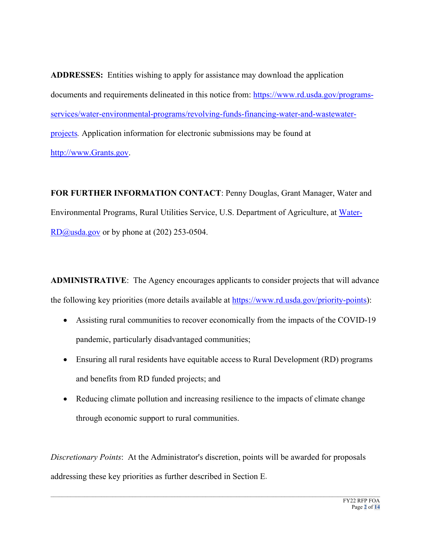**ADDRESSES:** Entities wishing to apply for assistance may download the application documents and requirements delineated in this notice from: [https://www.rd.usda.gov/programs](https://www.rd.usda.gov/programs-services/water-environmental-programs/revolving-funds-financing-water-and-wastewater-projects)[services/water-environmental-programs/revolving-funds-financing-water-and-wastewater](https://www.rd.usda.gov/programs-services/water-environmental-programs/revolving-funds-financing-water-and-wastewater-projects)[projects](https://www.rd.usda.gov/programs-services/water-environmental-programs/revolving-funds-financing-water-and-wastewater-projects)*.* Application information for electronic submissions may be found at [http://www.Grants.gov.](http://www.grants.gov/)

**FOR FURTHER INFORMATION CONTACT**: Penny Douglas, Grant Manager, Water and Environmental Programs, Rural Utilities Service, U.S. Department of Agriculture, at [Water-](mailto:Water-RD@usda.gov) $R\overline{D}\overline{Q}$ usda.gov or by phone at (202) 253-0504.

**ADMINISTRATIVE**: The Agency encourages applicants to consider projects that will advance the following key priorities (more details available at [https://www.rd.usda.gov/priority-points\)](https://gcc02.safelinks.protection.outlook.com/?url=https%3A%2F%2Fwww.rd.usda.gov%2Fpriority-points&data=04%7C01%7C%7C745c9875e40a4f783cc508d967c93b9d%7Ced5b36e701ee4ebc867ee03cfa0d4697%7C0%7C0%7C637654936272365989%7CUnknown%7CTWFpbGZsb3d8eyJWIjoiMC4wLjAwMDAiLCJQIjoiV2luMzIiLCJBTiI6Ik1haWwiLCJXVCI6Mn0%3D%7C1000&sdata=OAimYld0IAG78KMTUBnrLlwbARlYYJpfb0YZ8cd2q3k%3D&reserved=0):

- Assisting rural communities to recover economically from the impacts of the COVID-19 pandemic, particularly disadvantaged communities;
- Ensuring all rural residents have equitable access to Rural Development (RD) programs and benefits from RD funded projects; and
- Reducing climate pollution and increasing resilience to the impacts of climate change through economic support to rural communities.

*Discretionary Points*: At the Administrator's discretion, points will be awarded for proposals addressing these key priorities as further described in Section E.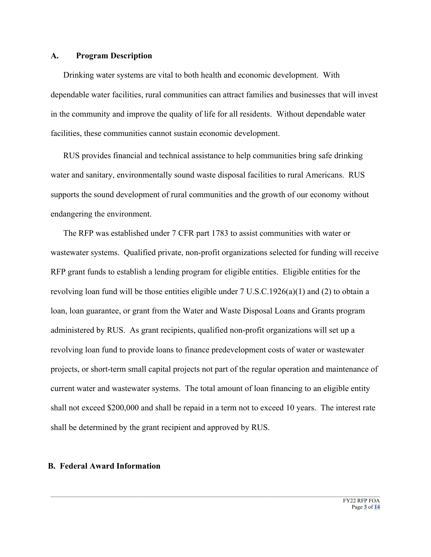### **A. Program Description**

Drinking water systems are vital to both health and economic development. With dependable water facilities, rural communities can attract families and businesses that will invest in the community and improve the quality of life for all residents. Without dependable water facilities, these communities cannot sustain economic development.

RUS provides financial and technical assistance to help communities bring safe drinking water and sanitary, environmentally sound waste disposal facilities to rural Americans. RUS supports the sound development of rural communities and the growth of our economy without endangering the environment.

The RFP was established under 7 CFR part 1783 to assist communities with water or wastewater systems. Qualified private, non-profit organizations selected for funding will receive RFP grant funds to establish a lending program for eligible entities. Eligible entities for the revolving loan fund will be those entities eligible under 7 U.S.C.1926(a)(1) and (2) to obtain a loan, loan guarantee, or grant from the Water and Waste Disposal Loans and Grants program administered by RUS. As grant recipients, qualified non-profit organizations will set up a revolving loan fund to provide loans to finance predevelopment costs of water or wastewater projects, or short-term small capital projects not part of the regular operation and maintenance of current water and wastewater systems. The total amount of loan financing to an eligible entity shall not exceed \$200,000 and shall be repaid in a term not to exceed 10 years. The interest rate shall be determined by the grant recipient and approved by RUS.

 $\_$  , and the state of the state of the state of the state of the state of the state of the state of the state of the state of the state of the state of the state of the state of the state of the state of the state of the

#### **B. Federal Award Information**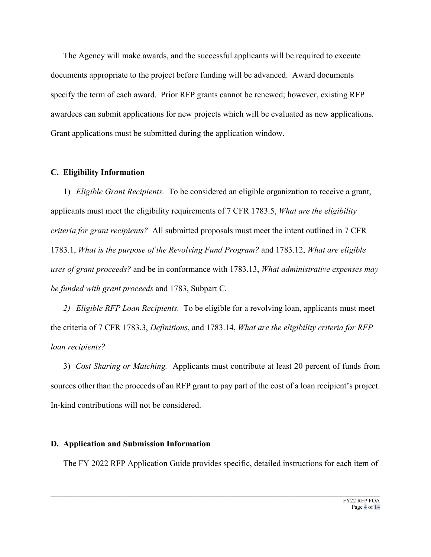The Agency will make awards, and the successful applicants will be required to execute documents appropriate to the project before funding will be advanced. Award documents specify the term of each award. Prior RFP grants cannot be renewed; however, existing RFP awardees can submit applications for new projects which will be evaluated as new applications. Grant applications must be submitted during the application window.

#### **C. Eligibility Information**

1) *Eligible Grant Recipients.* To be considered an eligible organization to receive a grant, applicants must meet the eligibility requirements of 7 CFR 1783.5, *What are the eligibility criteria for grant recipients?* All submitted proposals must meet the intent outlined in 7 CFR 1783.1, *What is the purpose of the Revolving Fund Program?* and 1783.12, *What are eligible uses of grant proceeds?* and be in conformance with 1783.13, *What administrative expenses may be funded with grant proceeds* and 1783, Subpart C*.*

*2) Eligible RFP Loan Recipients.* To be eligible for a revolving loan, applicants must meet the criteria of 7 CFR 1783.3, *Definitions*, and 1783.14, *What are the eligibility criteria for RFP loan recipients?*

3) *Cost Sharing or Matching.* Applicants must contribute at least 20 percent of funds from sources other than the proceeds of an RFP grant to pay part of the cost of a loan recipient's project. In-kind contributions will not be considered.

#### **D. Application and Submission Information**

The FY 2022 RFP Application Guide provides specific, detailed instructions for each item of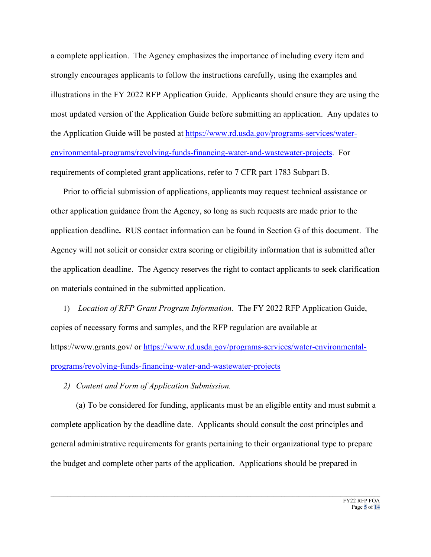a complete application. The Agency emphasizes the importance of including every item and strongly encourages applicants to follow the instructions carefully, using the examples and illustrations in the FY 2022 RFP Application Guide. Applicants should ensure they are using the most updated version of the Application Guide before submitting an application. Any updates to the Application Guide will be posted at [https://www.rd.usda.gov/programs-services/water](https://www.rd.usda.gov/programs-services/water-environmental-programs/revolving-funds-financing-water-and-wastewater-projects)[environmental-programs/revolving-funds-financing-water-and-wastewater-projects.](https://www.rd.usda.gov/programs-services/water-environmental-programs/revolving-funds-financing-water-and-wastewater-projects) For requirements of completed grant applications, refer to 7 CFR part 1783 Subpart B.

Prior to official submission of applications, applicants may request technical assistance or other application guidance from the Agency, so long as such requests are made prior to the application deadline**.** RUS contact information can be found in Section G of this document. The Agency will not solicit or consider extra scoring or eligibility information that is submitted after the application deadline. The Agency reserves the right to contact applicants to seek clarification on materials contained in the submitted application.

1) *Location of RFP Grant Program Information*. The FY 2022 RFP Application Guide, copies of necessary forms and samples, and the RFP regulation are available at https://www.grants.gov/ or [https://www.rd.usda.gov/programs-services/water-environmental](https://www.rd.usda.gov/programs-services/water-environmental-programs/revolving-funds-financing-water-and-wastewater-projects)[programs/revolving-funds-financing-water-and-wastewater-projects](https://www.rd.usda.gov/programs-services/water-environmental-programs/revolving-funds-financing-water-and-wastewater-projects)

*2) Content and Form of Application Submission.* 

(a) To be considered for funding, applicants must be an eligible entity and must submit a complete application by the deadline date. Applicants should consult the cost principles and general administrative requirements for grants pertaining to their organizational type to prepare the budget and complete other parts of the application. Applications should be prepared in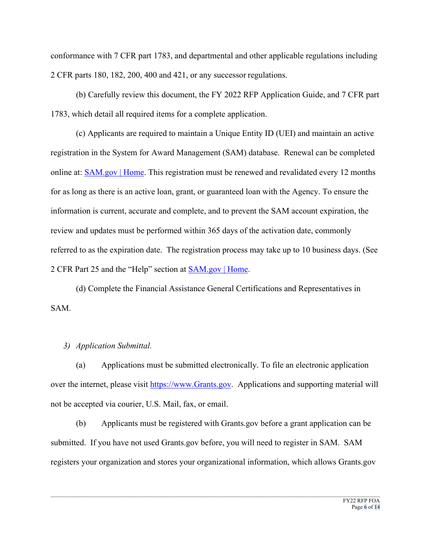conformance with 7 CFR part 1783, and departmental and other applicable regulations including 2 CFR parts 180, 182, 200, 400 and 421, or any successor regulations.

(b) Carefully review this document, the FY 2022 RFP Application Guide, and 7 CFR part 1783, which detail all required items for a complete application.

(c) Applicants are required to maintain a Unique Entity ID (UEI) and maintain an active registration in the System for Award Management (SAM) database. Renewal can be completed online at: [SAM.gov | Home.](https://sam.gov/content/home) This registration must be renewed and revalidated every 12 months for as long as there is an active loan, grant, or guaranteed loan with the Agency. To ensure the information is current, accurate and complete, and to prevent the SAM account expiration, the review and updates must be performed within 365 days of the activation date, commonly referred to as the expiration date. The registration process may take up to 10 business days. (See 2 CFR Part 25 and the "Help" section at **SAM.gov** | Home.

(d) Complete the Financial Assistance General Certifications and Representatives in SAM.

### *3) Application Submittal.*

(a) Applications must be submitted electronically. To file an electronic application over the internet, please visit [https://www.Grants.gov.](https://www.grants.gov/) Applications and supporting material will not be accepted via courier, U.S. Mail, fax, or email.

(b) Applicants must be registered with Grants.gov before a grant application can be submitted. If you have not used Grants.gov before, you will need to register in SAM. SAM registers your organization and stores your organizational information, which allows Grants.gov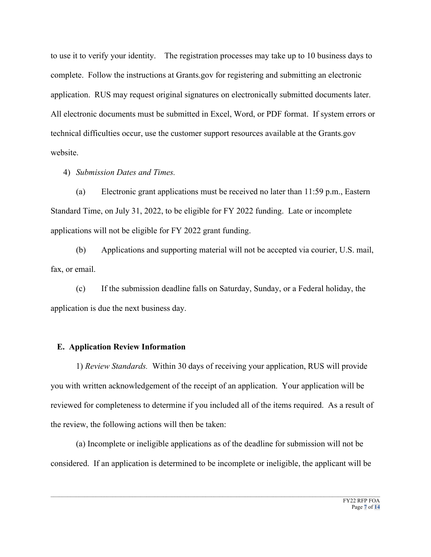to use it to verify your identity. The registration processes may take up to 10 business days to complete. Follow the instructions at Grants.gov for registering and submitting an electronic application. RUS may request original signatures on electronically submitted documents later. All electronic documents must be submitted in Excel, Word, or PDF format. If system errors or technical difficulties occur, use the customer support resources available at the Grants.gov website.

4) *Submission Dates and Times.*

(a) Electronic grant applications must be received no later than 11:59 p.m., Eastern Standard Time, on July 31, 2022, to be eligible for FY 2022 funding. Late or incomplete applications will not be eligible for FY 2022 grant funding.

(b) Applications and supporting material will not be accepted via courier, U.S. mail, fax, or email.

(c) If the submission deadline falls on Saturday, Sunday, or a Federal holiday, the application is due the next business day.

# **E. Application Review Information**

1) *Review Standards.* Within 30 days of receiving your application, RUS will provide you with written acknowledgement of the receipt of an application. Your application will be reviewed for completeness to determine if you included all of the items required. As a result of the review, the following actions will then be taken:

(a) Incomplete or ineligible applications as of the deadline for submission will not be considered. If an application is determined to be incomplete or ineligible, the applicant will be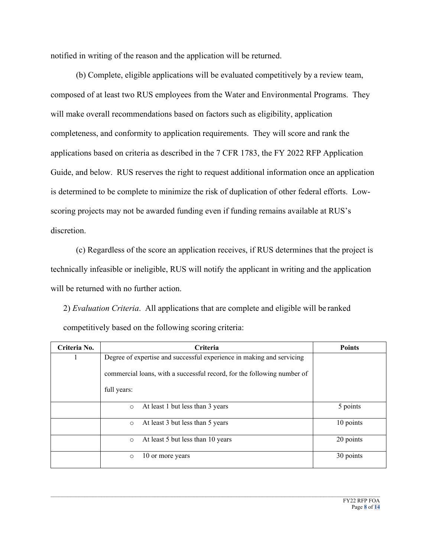notified in writing of the reason and the application will be returned.

(b) Complete, eligible applications will be evaluated competitively by a review team, composed of at least two RUS employees from the Water and Environmental Programs. They will make overall recommendations based on factors such as eligibility, application completeness, and conformity to application requirements. They will score and rank the applications based on criteria as described in the 7 CFR 1783, the FY 2022 RFP Application Guide, and below. RUS reserves the right to request additional information once an application is determined to be complete to minimize the risk of duplication of other federal efforts. Lowscoring projects may not be awarded funding even if funding remains available at RUS's discretion.

(c) Regardless of the score an application receives, if RUS determines that the project is technically infeasible or ineligible, RUS will notify the applicant in writing and the application will be returned with no further action.

2) *Evaluation Criteria*. All applications that are complete and eligible will be ranked competitively based on the following scoring criteria:

| Criteria No. | <b>Criteria</b>                                                         | <b>Points</b> |
|--------------|-------------------------------------------------------------------------|---------------|
|              | Degree of expertise and successful experience in making and servicing   |               |
|              | commercial loans, with a successful record, for the following number of |               |
|              | full years:                                                             |               |
|              | At least 1 but less than 3 years<br>$\circ$                             | 5 points      |
|              | At least 3 but less than 5 years<br>$\circ$                             | 10 points     |
|              | At least 5 but less than 10 years<br>$\circ$                            | 20 points     |
|              | 10 or more years<br>$\circ$                                             | 30 points     |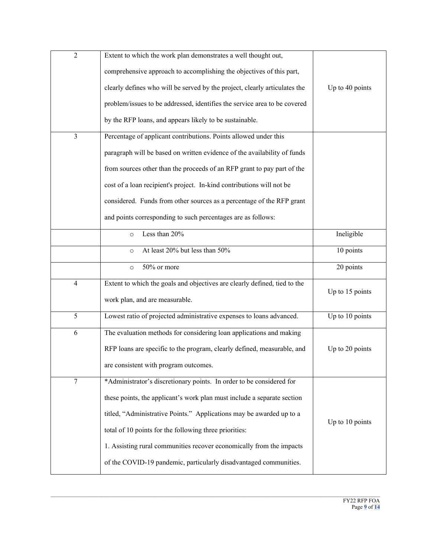| $\overline{2}$           | Extent to which the work plan demonstrates a well thought out,             |                 |
|--------------------------|----------------------------------------------------------------------------|-----------------|
|                          | comprehensive approach to accomplishing the objectives of this part,       |                 |
|                          | clearly defines who will be served by the project, clearly articulates the | Up to 40 points |
|                          | problem/issues to be addressed, identifies the service area to be covered  |                 |
|                          | by the RFP loans, and appears likely to be sustainable.                    |                 |
| $\overline{\mathbf{3}}$  | Percentage of applicant contributions. Points allowed under this           |                 |
|                          | paragraph will be based on written evidence of the availability of funds   |                 |
|                          | from sources other than the proceeds of an RFP grant to pay part of the    |                 |
|                          | cost of a loan recipient's project. In-kind contributions will not be      |                 |
|                          | considered. Funds from other sources as a percentage of the RFP grant      |                 |
|                          | and points corresponding to such percentages are as follows:               |                 |
|                          | Less than 20%<br>$\circ$                                                   | Ineligible      |
|                          | At least 20% but less than 50%<br>$\circ$                                  | 10 points       |
|                          | 50% or more<br>$\circ$                                                     | 20 points       |
| $\overline{\mathcal{A}}$ | Extent to which the goals and objectives are clearly defined, tied to the  | Up to 15 points |
|                          | work plan, and are measurable.                                             |                 |
|                          |                                                                            |                 |
| 5                        | Lowest ratio of projected administrative expenses to loans advanced.       | Up to 10 points |
| 6                        | The evaluation methods for considering loan applications and making        |                 |
|                          | RFP loans are specific to the program, clearly defined, measurable, and    | Up to 20 points |
|                          | are consistent with program outcomes.                                      |                 |
| $\tau$                   | *Administrator's discretionary points. In order to be considered for       |                 |
|                          | these points, the applicant's work plan must include a separate section    |                 |
|                          | titled, "Administrative Points." Applications may be awarded up to a       |                 |
|                          | total of 10 points for the following three priorities:                     | Up to 10 points |
|                          | 1. Assisting rural communities recover economically from the impacts       |                 |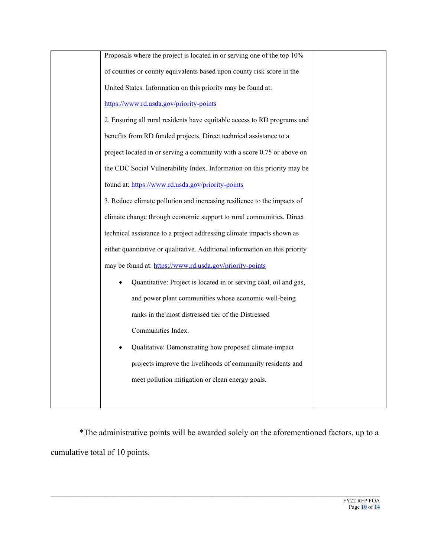| Proposals where the project is located in or serving one of the top 10%     |
|-----------------------------------------------------------------------------|
| of counties or county equivalents based upon county risk score in the       |
| United States. Information on this priority may be found at:                |
| https://www.rd.usda.gov/priority-points                                     |
| 2. Ensuring all rural residents have equitable access to RD programs and    |
| benefits from RD funded projects. Direct technical assistance to a          |
| project located in or serving a community with a score 0.75 or above on     |
| the CDC Social Vulnerability Index. Information on this priority may be     |
| found at: https://www.rd.usda.gov/priority-points                           |
| 3. Reduce climate pollution and increasing resilience to the impacts of     |
| climate change through economic support to rural communities. Direct        |
| technical assistance to a project addressing climate impacts shown as       |
| either quantitative or qualitative. Additional information on this priority |
| may be found at: https://www.rd.usda.gov/priority-points                    |
| Quantitative: Project is located in or serving coal, oil and gas,           |
| and power plant communities whose economic well-being                       |
| ranks in the most distressed tier of the Distressed                         |
| Communities Index.                                                          |
| Qualitative: Demonstrating how proposed climate-impact                      |
| projects improve the livelihoods of community residents and                 |
| meet pollution mitigation or clean energy goals.                            |
|                                                                             |
|                                                                             |

\*The administrative points will be awarded solely on the aforementioned factors, up to a cumulative total of 10 points.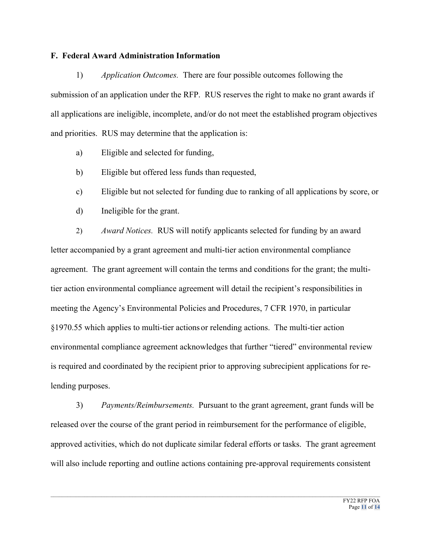#### **F. Federal Award Administration Information**

1) *Application Outcomes.* There are four possible outcomes following the submission of an application under the RFP. RUS reserves the right to make no grant awards if all applications are ineligible, incomplete, and/or do not meet the established program objectives and priorities. RUS may determine that the application is:

- a) Eligible and selected for funding,
- b) Eligible but offered less funds than requested,
- c) Eligible but not selected for funding due to ranking of all applications by score, or
- d) Ineligible for the grant.

2) *Award Notices.* RUS will notify applicants selected for funding by an award letter accompanied by a grant agreement and multi-tier action environmental compliance agreement. The grant agreement will contain the terms and conditions for the grant; the multitier action environmental compliance agreement will detail the recipient's responsibilities in meeting the Agency's Environmental Policies and Procedures, 7 CFR 1970, in particular §1970.55 which applies to multi-tier actions or relending actions. The multi-tier action environmental compliance agreement acknowledges that further "tiered" environmental review is required and coordinated by the recipient prior to approving subrecipient applications for relending purposes.

3) *Payments/Reimbursements.* Pursuant to the grant agreement, grant funds will be released over the course of the grant period in reimbursement for the performance of eligible, approved activities, which do not duplicate similar federal efforts or tasks. The grant agreement will also include reporting and outline actions containing pre-approval requirements consistent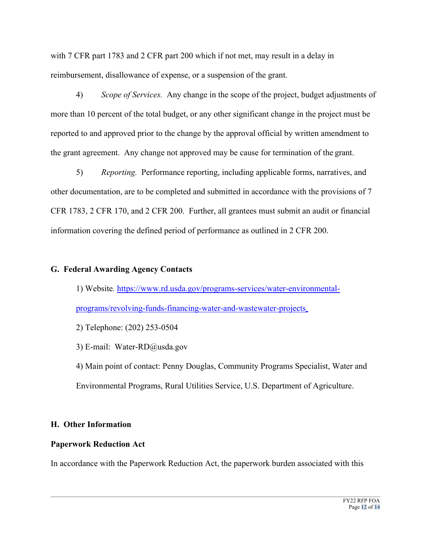with 7 CFR part 1783 and 2 CFR part 200 which if not met, may result in a delay in reimbursement, disallowance of expense, or a suspension of the grant.

4) *Scope of Services.* Any change in the scope of the project, budget adjustments of more than 10 percent of the total budget, or any other significant change in the project must be reported to and approved prior to the change by the approval official by written amendment to the grant agreement. Any change not approved may be cause for termination of the grant.

5) *Reporting.* Performance reporting, including applicable forms, narratives, and other documentation, are to be completed and submitted in accordance with the provisions of 7 CFR 1783, 2 CFR 170, and 2 CFR 200. Further, all grantees must submit an audit or financial information covering the defined period of performance as outlined in 2 CFR 200.

## **G. Federal Awarding Agency Contacts**

1) Website*.* [https://www.rd.usda.gov/programs-services/water-environmental](https://www.rd.usda.gov/programs-services/water-environmental-programs/revolving-funds-financing-water-and-wastewater-projects)[programs/revolving-funds-financing-water-and-wastewater-projects](https://www.rd.usda.gov/programs-services/water-environmental-programs/revolving-funds-financing-water-and-wastewater-projects)

2) Telephone: (202) 253-0504

3) E-mail: Water-RD@usda.gov

4) Main point of contact: Penny Douglas, Community Programs Specialist, Water and Environmental Programs, Rural Utilities Service, U.S. Department of Agriculture.

# **H. Other Information**

# **Paperwork Reduction Act**

In accordance with the Paperwork Reduction Act, the paperwork burden associated with this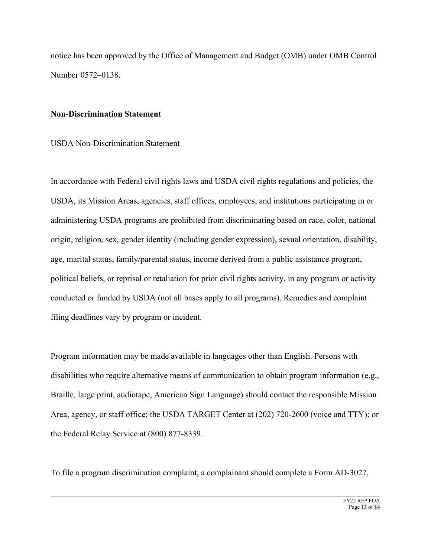notice has been approved by the Office of Management and Budget (OMB) under OMB Control Number 0572–0138.

#### **Non-Discrimination Statement**

### USDA Non-Discrimination Statement

In accordance with Federal civil rights laws and USDA civil rights regulations and policies, the USDA, its Mission Areas, agencies, staff offices, employees, and institutions participating in or administering USDA programs are prohibited from discriminating based on race, color, national origin, religion, sex, gender identity (including gender expression), sexual orientation, disability, age, marital status, family/parental status, income derived from a public assistance program, political beliefs, or reprisal or retaliation for prior civil rights activity, in any program or activity conducted or funded by USDA (not all bases apply to all programs). Remedies and complaint filing deadlines vary by program or incident.

Program information may be made available in languages other than English. Persons with disabilities who require alternative means of communication to obtain program information (e.g., Braille, large print, audiotape, American Sign Language) should contact the responsible Mission Area, agency, or staff office; the USDA TARGET Center at (202) 720-2600 (voice and TTY); or the Federal Relay Service at (800) 877-8339.

To file a program discrimination complaint, a complainant should complete a Form AD-3027,